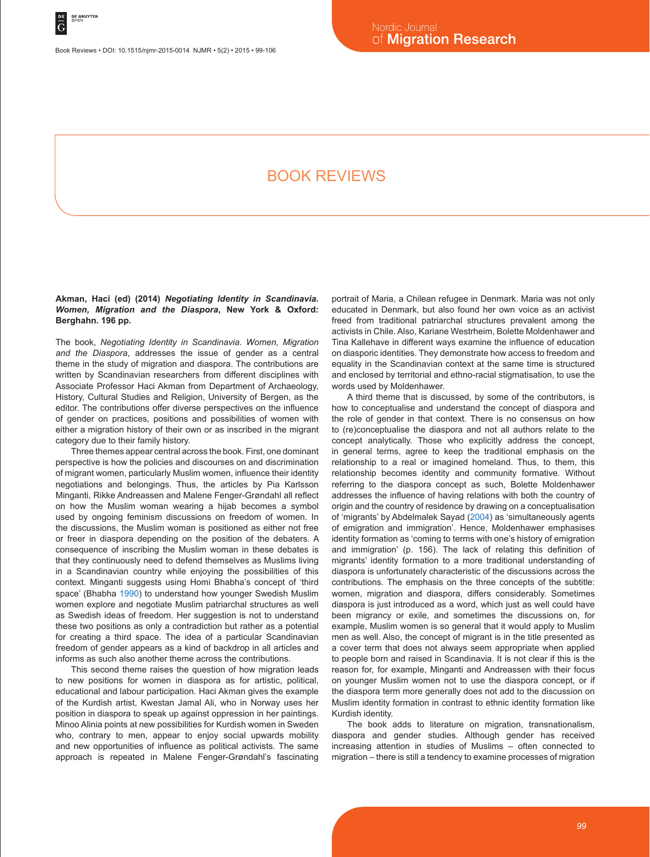Book Reviews • DOI: 10.1515/njmr-2015-0014 NJMR • 5(2) • 2015 • 99-106

# Book reviews

## **Akman, Haci (ed) (2014)** *Negotiating Identity in Scandinavia. Women, Migration and the Diaspora***, New York & Oxford: Berghahn. 196 pp.**

The book, *Negotiating Identity in Scandinavia. Women, Migration and the Diaspora*, addresses the issue of gender as a central theme in the study of migration and diaspora. The contributions are written by Scandinavian researchers from different disciplines with Associate Professor Haci Akman from Department of Archaeology, History, Cultural Studies and Religion, University of Bergen, as the editor. The contributions offer diverse perspectives on the influence of gender on practices, positions and possibilities of women with either a migration history of their own or as inscribed in the migrant category due to their family history.

Three themes appear central across the book. First, one dominant perspective is how the policies and discourses on and discrimination of migrant women, particularly Muslim women, influence their identity negotiations and belongings. Thus, the articles by Pia Karlsson Minganti, Rikke Andreassen and Malene Fenger-Grøndahl all reflect on how the Muslim woman wearing a hijab becomes a symbol used by ongoing feminism discussions on freedom of women. In the discussions, the Muslim woman is positioned as either not free or freer in diaspora depending on the position of the debaters. A consequence of inscribing the Muslim woman in these debates is that they continuously need to defend themselves as Muslims living in a Scandinavian country while enjoying the possibilities of this context. Minganti suggests using Homi Bhabha's concept of 'third space' (Bhabha 1990) to understand how younger Swedish Muslim women explore and negotiate Muslim patriarchal structures as well as Swedish ideas of freedom. Her suggestion is not to understand these two positions as only a contradiction but rather as a potential for creating a third space. The idea of a particular Scandinavian freedom of gender appears as a kind of backdrop in all articles and informs as such also another theme across the contributions.

This second theme raises the question of how migration leads to new positions for women in diaspora as for artistic, political, educational and labour participation. Haci Akman gives the example of the Kurdish artist, Kwestan Jamal Ali, who in Norway uses her position in diaspora to speak up against oppression in her paintings. Minoo Alinia points at new possibilities for Kurdish women in Sweden who, contrary to men, appear to enjoy social upwards mobility and new opportunities of influence as political activists. The same approach is repeated in Malene Fenger-Grøndahl's fascinating portrait of Maria, a Chilean refugee in Denmark. Maria was not only educated in Denmark, but also found her own voice as an activist freed from traditional patriarchal structures prevalent among the activists in Chile. Also, Kariane Westrheim, Bolette Moldenhawer and Tina Kallehave in different ways examine the influence of education on diasporic identities. They demonstrate how access to freedom and equality in the Scandinavian context at the same time is structured and enclosed by territorial and ethno-racial stigmatisation, to use the words used by Moldenhawer.

A third theme that is discussed, by some of the contributors, is how to conceptualise and understand the concept of diaspora and the role of gender in that context. There is no consensus on how to (re)conceptualise the diaspora and not all authors relate to the concept analytically. Those who explicitly address the concept, in general terms, agree to keep the traditional emphasis on the relationship to a real or imagined homeland. Thus, to them, this relationship becomes identity and community formative. Without referring to the diaspora concept as such, Bolette Moldenhawer addresses the influence of having relations with both the country of origin and the country of residence by drawing on a conceptualisation of 'migrants' by Abdelmalek Sayad (2004) as 'simultaneously agents of emigration and immigration'. Hence, Moldenhawer emphasises identity formation as 'coming to terms with one's history of emigration and immigration' (p. 156). The lack of relating this definition of migrants' identity formation to a more traditional understanding of diaspora is unfortunately characteristic of the discussions across the contributions. The emphasis on the three concepts of the subtitle: women, migration and diaspora, differs considerably. Sometimes diaspora is just introduced as a word, which just as well could have been migrancy or exile, and sometimes the discussions on, for example, Muslim women is so general that it would apply to Muslim men as well. Also, the concept of migrant is in the title presented as a cover term that does not always seem appropriate when applied to people born and raised in Scandinavia. It is not clear if this is the reason for, for example, Minganti and Andreassen with their focus on younger Muslim women not to use the diaspora concept, or if the diaspora term more generally does not add to the discussion on Muslim identity formation in contrast to ethnic identity formation like Kurdish identity.

The book adds to literature on migration, transnationalism, diaspora and gender studies. Although gender has received increasing attention in studies of Muslims – often connected to migration – there is still a tendency to examine processes of migration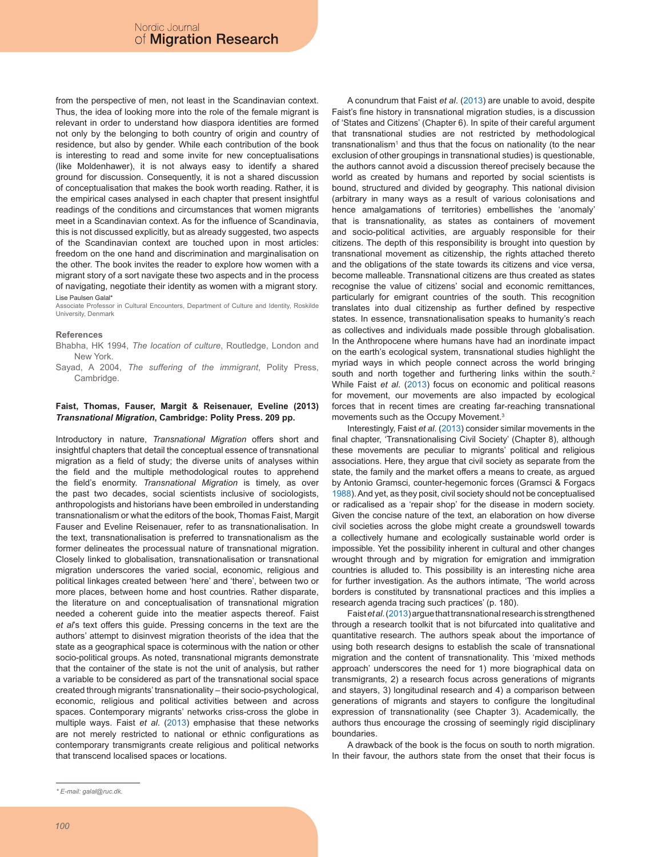from the perspective of men, not least in the Scandinavian context. Thus, the idea of looking more into the role of the female migrant is relevant in order to understand how diaspora identities are formed not only by the belonging to both country of origin and country of residence, but also by gender. While each contribution of the book is interesting to read and some invite for new conceptualisations (like Moldenhawer), it is not always easy to identify a shared ground for discussion. Consequently, it is not a shared discussion of conceptualisation that makes the book worth reading. Rather, it is the empirical cases analysed in each chapter that present insightful readings of the conditions and circumstances that women migrants meet in a Scandinavian context. As for the influence of Scandinavia, this is not discussed explicitly, but as already suggested, two aspects of the Scandinavian context are touched upon in most articles: freedom on the one hand and discrimination and marginalisation on the other. The book invites the reader to explore how women with a migrant story of a sort navigate these two aspects and in the process of navigating, negotiate their identity as women with a migrant story. Lise Paulsen Galalt

Associate Professor in Cultural Encounters, Department of Culture and Identity, Roskilde University, Denmark

### **References**

- Bhabha, HK 1994, *The location of culture*, Routledge, London and New York.
- Sayad, A 2004, *The suffering of the immigrant*, Polity Press, Cambridge.

## **Faist, Thomas, Fauser, Margit & Reisenauer, Eveline (2013)**  *Transnational Migration***, Cambridge: Polity Press. 209 pp.**

Introductory in nature, *Transnational Migration* offers short and insightful chapters that detail the conceptual essence of transnational migration as a field of study; the diverse units of analyses within the field and the multiple methodological routes to apprehend the field's enormity. *Transnational Migration* is timely, as over the past two decades, social scientists inclusive of sociologists, anthropologists and historians have been embroiled in understanding transnationalism or what the editors of the book, Thomas Faist, Margit Fauser and Eveline Reisenauer, refer to as transnationalisation. In the text, transnationalisation is preferred to transnationalism as the former delineates the processual nature of transnational migration. Closely linked to globalisation, transnationalisation or transnational migration underscores the varied social, economic, religious and political linkages created between 'here' and 'there', between two or more places, between home and host countries. Rather disparate, the literature on and conceptualisation of transnational migration needed a coherent guide into the meatier aspects thereof. Faist *et al*'s text offers this guide. Pressing concerns in the text are the authors' attempt to disinvest migration theorists of the idea that the state as a geographical space is coterminous with the nation or other socio-political groups. As noted, transnational migrants demonstrate that the container of the state is not the unit of analysis, but rather a variable to be considered as part of the transnational social space created through migrants' transnationality – their socio-psychological, economic, religious and political activities between and across spaces. Contemporary migrants' networks criss-cross the globe in multiple ways. Faist *et al*. (2013) emphasise that these networks are not merely restricted to national or ethnic configurations as contemporary transmigrants create religious and political networks that transcend localised spaces or locations.

A conundrum that Faist *et al*. (2013) are unable to avoid, despite Faist's fine history in transnational migration studies, is a discussion of 'States and Citizens' (Chapter 6). In spite of their careful argument that transnational studies are not restricted by methodological transnationalism<sup>1</sup> and thus that the focus on nationality (to the near exclusion of other groupings in transnational studies) is questionable, the authors cannot avoid a discussion thereof precisely because the world as created by humans and reported by social scientists is bound, structured and divided by geography. This national division (arbitrary in many ways as a result of various colonisations and hence amalgamations of territories) embellishes the 'anomaly' that is transnationality, as states as containers of movement and socio-political activities, are arguably responsible for their citizens. The depth of this responsibility is brought into question by transnational movement as citizenship, the rights attached thereto and the obligations of the state towards its citizens and vice versa, become malleable. Transnational citizens are thus created as states recognise the value of citizens' social and economic remittances, particularly for emigrant countries of the south. This recognition translates into dual citizenship as further defined by respective states. In essence, transnationalisation speaks to humanity's reach as collectives and individuals made possible through globalisation. In the Anthropocene where humans have had an inordinate impact on the earth's ecological system, transnational studies highlight the myriad ways in which people connect across the world bringing south and north together and furthering links within the south.<sup>2</sup> While Faist *et al*. (2013) focus on economic and political reasons for movement, our movements are also impacted by ecological forces that in recent times are creating far-reaching transnational movements such as the Occupy Movement.3

Interestingly, Faist *et al*. (2013) consider similar movements in the final chapter, 'Transnationalising Civil Society' (Chapter 8), although these movements are peculiar to migrants' political and religious associations. Here, they argue that civil society as separate from the state, the family and the market offers a means to create, as argued by Antonio Gramsci, counter-hegemonic forces (Gramsci & Forgacs 1988). And yet, as they posit, civil society should not be conceptualised or radicalised as a 'repair shop' for the disease in modern society. Given the concise nature of the text, an elaboration on how diverse civil societies across the globe might create a groundswell towards a collectively humane and ecologically sustainable world order is impossible. Yet the possibility inherent in cultural and other changes wrought through and by migration for emigration and immigration countries is alluded to. This possibility is an interesting niche area for further investigation. As the authors intimate, 'The world across borders is constituted by transnational practices and this implies a research agenda tracing such practices' (p. 180).

Faist *et al*.(2013)argue that transnational research is strengthened through a research toolkit that is not bifurcated into qualitative and quantitative research. The authors speak about the importance of using both research designs to establish the scale of transnational migration and the content of transnationality. This 'mixed methods approach' underscores the need for 1) more biographical data on transmigrants, 2) a research focus across generations of migrants and stayers, 3) longitudinal research and 4) a comparison between generations of migrants and stayers to configure the longitudinal expression of transnationality (see Chapter 3). Academically, the authors thus encourage the crossing of seemingly rigid disciplinary boundaries.

A drawback of the book is the focus on south to north migration. In their favour, the authors state from the onset that their focus is

*<sup>\*</sup> E-mail: galal@ruc.dk.*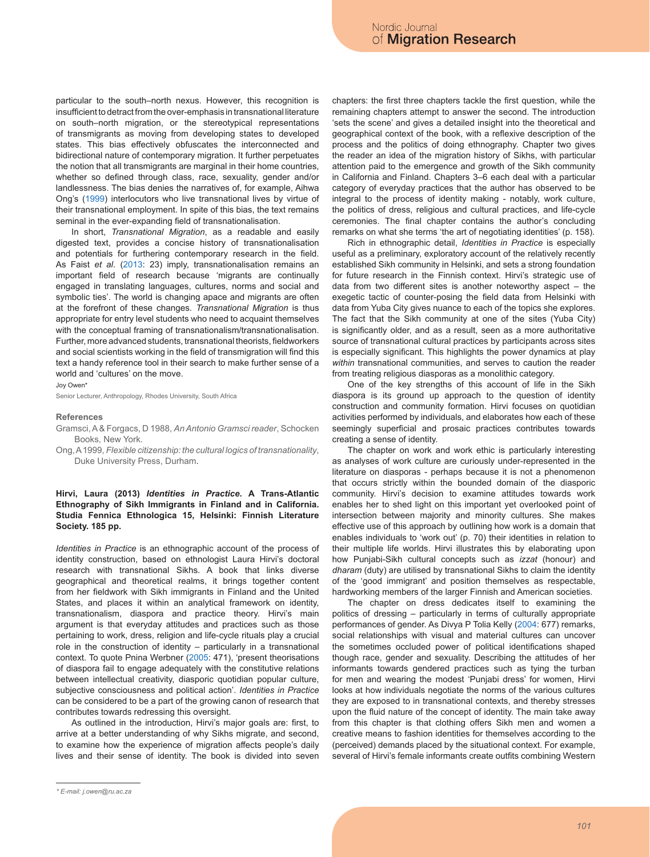particular to the south–north nexus. However, this recognition is insufficient to detract from the over-emphasis in transnational literature on south–north migration, or the stereotypical representations of transmigrants as moving from developing states to developed states. This bias effectively obfuscates the interconnected and bidirectional nature of contemporary migration. It further perpetuates the notion that all transmigrants are marginal in their home countries, whether so defined through class, race, sexuality, gender and/or landlessness. The bias denies the narratives of, for example, Aihwa Ong's (1999) interlocutors who live transnational lives by virtue of their transnational employment. In spite of this bias, the text remains seminal in the ever-expanding field of transnationalisation.

In short, *Transnational Migration*, as a readable and easily digested text, provides a concise history of transnationalisation and potentials for furthering contemporary research in the field. As Faist *et al*. (2013: 23) imply, transnationalisation remains an important field of research because 'migrants are continually engaged in translating languages, cultures, norms and social and symbolic ties'. The world is changing apace and migrants are often at the forefront of these changes. *Transnational Migration* is thus appropriate for entry level students who need to acquaint themselves with the conceptual framing of transnationalism/transnationalisation. Further, more advanced students, transnational theorists, fieldworkers and social scientists working in the field of transmigration will find this text a handy reference tool in their search to make further sense of a world and 'cultures' on the move.

Joy Owen\*

Senior Lecturer, Anthropology, Rhodes University, South Africa

#### **References**

- Gramsci, A & Forgacs, D 1988, *An Antonio Gramsci reader*, Schocken Books, New York.
- Ong, A 1999, *Flexible citizenship: the cultural logics of transnationality*, Duke University Press, Durham.

## **Hirvi, Laura (2013)** *Identities in Practice***. A Trans-Atlantic Ethnography of Sikh Immigrants in Finland and in California. Studia Fennica Ethnologica 15, Helsinki: Finnish Literature Society. 185 pp.**

*Identities in Practice* is an ethnographic account of the process of identity construction, based on ethnologist Laura Hirvi's doctoral research with transnational Sikhs. A book that links diverse geographical and theoretical realms, it brings together content from her fieldwork with Sikh immigrants in Finland and the United States, and places it within an analytical framework on identity, transnationalism, diaspora and practice theory. Hirvi's main argument is that everyday attitudes and practices such as those pertaining to work, dress, religion and life-cycle rituals play a crucial role in the construction of identity – particularly in a transnational context. To quote Pnina Werbner (2005: 471), 'present theorisations of diaspora fail to engage adequately with the constitutive relations between intellectual creativity, diasporic quotidian popular culture, subjective consciousness and political action'. *Identities in Practice* can be considered to be a part of the growing canon of research that contributes towards redressing this oversight.

As outlined in the introduction, Hirvi's major goals are: first, to arrive at a better understanding of why Sikhs migrate, and second, to examine how the experience of migration affects people's daily lives and their sense of identity. The book is divided into seven chapters: the first three chapters tackle the first question, while the remaining chapters attempt to answer the second. The introduction 'sets the scene' and gives a detailed insight into the theoretical and geographical context of the book, with a reflexive description of the process and the politics of doing ethnography. Chapter two gives the reader an idea of the migration history of Sikhs, with particular attention paid to the emergence and growth of the Sikh community in California and Finland. Chapters 3–6 each deal with a particular category of everyday practices that the author has observed to be integral to the process of identity making - notably, work culture, the politics of dress, religious and cultural practices, and life-cycle ceremonies. The final chapter contains the author's concluding remarks on what she terms 'the art of negotiating identities' (p. 158).

Rich in ethnographic detail, *Identities in Practice* is especially useful as a preliminary, exploratory account of the relatively recently established Sikh community in Helsinki, and sets a strong foundation for future research in the Finnish context. Hirvi's strategic use of data from two different sites is another noteworthy aspect – the exegetic tactic of counter-posing the field data from Helsinki with data from Yuba City gives nuance to each of the topics she explores. The fact that the Sikh community at one of the sites (Yuba City) is significantly older, and as a result, seen as a more authoritative source of transnational cultural practices by participants across sites is especially significant. This highlights the power dynamics at play *within* transnational communities, and serves to caution the reader from treating religious diasporas as a monolithic category.

One of the key strengths of this account of life in the Sikh diaspora is its ground up approach to the question of identity construction and community formation. Hirvi focuses on quotidian activities performed by individuals, and elaborates how each of these seemingly superficial and prosaic practices contributes towards creating a sense of identity.

The chapter on work and work ethic is particularly interesting as analyses of work culture are curiously under-represented in the literature on diasporas - perhaps because it is not a phenomenon that occurs strictly within the bounded domain of the diasporic community. Hirvi's decision to examine attitudes towards work enables her to shed light on this important yet overlooked point of intersection between majority and minority cultures. She makes effective use of this approach by outlining how work is a domain that enables individuals to 'work out' (p. 70) their identities in relation to their multiple life worlds. Hirvi illustrates this by elaborating upon how Punjabi-Sikh cultural concepts such as *izzat* (honour) and *dharam* (duty) are utilised by transnational Sikhs to claim the identity of the 'good immigrant' and position themselves as respectable, hardworking members of the larger Finnish and American societies.

The chapter on dress dedicates itself to examining the politics of dressing – particularly in terms of culturally appropriate performances of gender. As Divya P Tolia Kelly (2004: 677) remarks, social relationships with visual and material cultures can uncover the sometimes occluded power of political identifications shaped though race, gender and sexuality. Describing the attitudes of her informants towards gendered practices such as tying the turban for men and wearing the modest 'Punjabi dress' for women, Hirvi looks at how individuals negotiate the norms of the various cultures they are exposed to in transnational contexts, and thereby stresses upon the fluid nature of the concept of identity. The main take away from this chapter is that clothing offers Sikh men and women a creative means to fashion identities for themselves according to the (perceived) demands placed by the situational context. For example, several of Hirvi's female informants create outfits combining Western

*<sup>\*</sup> E-mail: j.owen@ru.ac.za*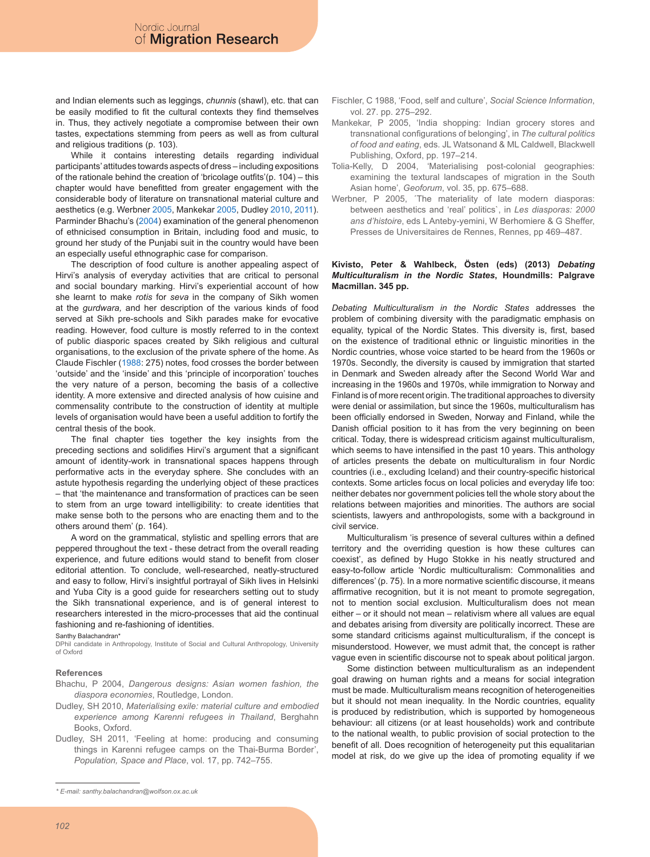and Indian elements such as leggings, *chunnis* (shawl), etc. that can be easily modified to fit the cultural contexts they find themselves in. Thus, they actively negotiate a compromise between their own tastes, expectations stemming from peers as well as from cultural and religious traditions (p. 103).

While it contains interesting details regarding individual participants' attitudes towards aspects of dress – including expositions of the rationale behind the creation of 'bricolage outfits'(p. 104) – this chapter would have benefitted from greater engagement with the considerable body of literature on transnational material culture and aesthetics (e.g. Werbner 2005, Mankekar 2005, Dudley 2010, 2011). Parminder Bhachu's (2004) examination of the general phenomenon of ethnicised consumption in Britain, including food and music, to ground her study of the Punjabi suit in the country would have been an especially useful ethnographic case for comparison.

The description of food culture is another appealing aspect of Hirvi's analysis of everyday activities that are critical to personal and social boundary marking. Hirvi's experiential account of how she learnt to make *rotis* for *seva* in the company of Sikh women at the *gurdwara,* and her description of the various kinds of food served at Sikh pre-schools and Sikh parades make for evocative reading. However, food culture is mostly referred to in the context of public diasporic spaces created by Sikh religious and cultural organisations, to the exclusion of the private sphere of the home. As Claude Fischler (1988: 275) notes, food crosses the border between 'outside' and the 'inside' and this 'principle of incorporation' touches the very nature of a person, becoming the basis of a collective identity. A more extensive and directed analysis of how cuisine and commensality contribute to the construction of identity at multiple levels of organisation would have been a useful addition to fortify the central thesis of the book.

The final chapter ties together the key insights from the preceding sections and solidifies Hirvi's argument that a significant amount of identity-work in transnational spaces happens through performative acts in the everyday sphere. She concludes with an astute hypothesis regarding the underlying object of these practices – that 'the maintenance and transformation of practices can be seen to stem from an urge toward intelligibility: to create identities that make sense both to the persons who are enacting them and to the others around them' (p. 164).

A word on the grammatical, stylistic and spelling errors that are peppered throughout the text - these detract from the overall reading experience, and future editions would stand to benefit from closer editorial attention. To conclude, well-researched, neatly-structured and easy to follow, Hirvi's insightful portrayal of Sikh lives in Helsinki and Yuba City is a good guide for researchers setting out to study the Sikh transnational experience, and is of general interest to researchers interested in the micro-processes that aid the continual fashioning and re-fashioning of identities.

Santhy Balachandran\*

DPhil candidate in Anthropology, Institute of Social and Cultural Anthropology, University of Oxford

### **References**

- Bhachu, P 2004, *Dangerous designs: Asian women fashion, the diaspora economies*, Routledge, London.
- Dudley, SH 2010, *Materialising exile: material culture and embodied experience among Karenni refugees in Thailand*, Berghahn Books, Oxford.
- Dudley, SH 2011, 'Feeling at home: producing and consuming things in Karenni refugee camps on the Thai-Burma Border', *Population, Space and Place*, vol. 17, pp. 742–755.
- Fischler, C 1988, 'Food, self and culture', *Social Science Information*, vol. 27. pp. 275–292.
- Mankekar, P 2005, 'India shopping: Indian grocery stores and transnational configurations of belonging', in *The cultural politics of food and eating*, eds. JL Watsonand & ML Caldwell, Blackwell Publishing, Oxford, pp. 197–214.
- Tolia-Kelly, D 2004, 'Materialising post-colonial geographies: examining the textural landscapes of migration in the South Asian home', *Geoforum*, vol. 35, pp. 675–688.
- Werbner, P 2005, ´The materiality of late modern diasporas: between aesthetics and 'real' politics`, in *Les diasporas: 2000 ans d'histoire*, eds L Anteby-yemini, W Berhomiere & G Sheffer, Presses de Universitaires de Rennes, Rennes, pp 469–487.

## **Kivisto, Peter & Wahlbeck, Östen (eds) (2013)** *Debating Multiculturalism in the Nordic States***, Houndmills: Palgrave Macmillan. 345 pp.**

*Debating Multiculturalism in the Nordic States* addresses the problem of combining diversity with the paradigmatic emphasis on equality, typical of the Nordic States. This diversity is, first, based on the existence of traditional ethnic or linguistic minorities in the Nordic countries, whose voice started to be heard from the 1960s or 1970s. Secondly, the diversity is caused by immigration that started in Denmark and Sweden already after the Second World War and increasing in the 1960s and 1970s, while immigration to Norway and Finland is of more recent origin. The traditional approaches to diversity were denial or assimilation, but since the 1960s, multiculturalism has been officially endorsed in Sweden, Norway and Finland, while the Danish official position to it has from the very beginning on been critical. Today, there is widespread criticism against multiculturalism, which seems to have intensified in the past 10 years. This anthology of articles presents the debate on multiculturalism in four Nordic countries (i.e., excluding Iceland) and their country-specific historical contexts. Some articles focus on local policies and everyday life too: neither debates nor government policies tell the whole story about the relations between majorities and minorities. The authors are social scientists, lawyers and anthropologists, some with a background in civil service.

Multiculturalism 'is presence of several cultures within a defined territory and the overriding question is how these cultures can coexist', as defined by Hugo Stokke in his neatly structured and easy-to-follow article 'Nordic multiculturalism: Commonalities and differences' (p. 75). In a more normative scientific discourse, it means affirmative recognition, but it is not meant to promote segregation, not to mention social exclusion. Multiculturalism does not mean either – or it should not mean – relativism where all values are equal and debates arising from diversity are politically incorrect. These are some standard criticisms against multiculturalism, if the concept is misunderstood. However, we must admit that, the concept is rather vague even in scientific discourse not to speak about political jargon.

Some distinction between multiculturalism as an independent goal drawing on human rights and a means for social integration must be made. Multiculturalism means recognition of heterogeneities but it should not mean inequality. In the Nordic countries, equality is produced by redistribution, which is supported by homogeneous behaviour: all citizens (or at least households) work and contribute to the national wealth, to public provision of social protection to the benefit of all. Does recognition of heterogeneity put this equalitarian model at risk, do we give up the idea of promoting equality if we

*<sup>\*</sup> E-mail: santhy.balachandran@wolfson.ox.ac.uk*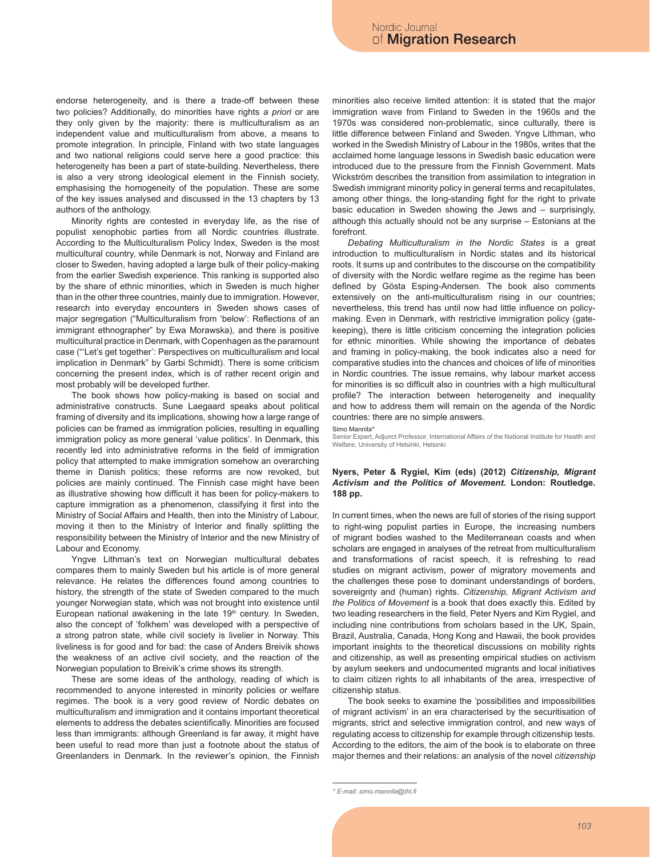endorse heterogeneity, and is there a trade-off between these two policies? Additionally, do minorities have rights *a priori* or are they only given by the majority: there is multiculturalism as an independent value and multiculturalism from above, a means to promote integration. In principle, Finland with two state languages and two national religions could serve here a good practice: this heterogeneity has been a part of state-building. Nevertheless, there is also a very strong ideological element in the Finnish society, emphasising the homogeneity of the population. These are some of the key issues analysed and discussed in the 13 chapters by 13 authors of the anthology.

Minority rights are contested in everyday life, as the rise of populist xenophobic parties from all Nordic countries illustrate. According to the Multiculturalism Policy Index, Sweden is the most multicultural country, while Denmark is not, Norway and Finland are closer to Sweden, having adopted a large bulk of their policy-making from the earlier Swedish experience. This ranking is supported also by the share of ethnic minorities, which in Sweden is much higher than in the other three countries, mainly due to immigration. However, research into everyday encounters in Sweden shows cases of major segregation ("Multiculturalism from 'below': Reflections of an immigrant ethnographer" by Ewa Morawska), and there is positive multicultural practice in Denmark, with Copenhagen as the paramount case ("'Let's get together': Perspectives on multiculturalism and local implication in Denmark" by Garbi Schmidt). There is some criticism concerning the present index, which is of rather recent origin and most probably will be developed further.

The book shows how policy-making is based on social and administrative constructs. Sune Laegaard speaks about political framing of diversity and its implications, showing how a large range of policies can be framed as immigration policies, resulting in equalling immigration policy as more general 'value politics'. In Denmark, this recently led into administrative reforms in the field of immigration policy that attempted to make immigration somehow an overarching theme in Danish politics; these reforms are now revoked, but policies are mainly continued. The Finnish case might have been as illustrative showing how difficult it has been for policy-makers to capture immigration as a phenomenon, classifying it first into the Ministry of Social Affairs and Health, then into the Ministry of Labour, moving it then to the Ministry of Interior and finally splitting the responsibility between the Ministry of Interior and the new Ministry of Labour and Economy.

Yngve Lithman's text on Norwegian multicultural debates compares them to mainly Sweden but his article is of more general relevance. He relates the differences found among countries to history, the strength of the state of Sweden compared to the much younger Norwegian state, which was not brought into existence until European national awakening in the late 19<sup>th</sup> century. In Sweden, also the concept of 'folkhem' was developed with a perspective of a strong patron state, while civil society is livelier in Norway. This liveliness is for good and for bad: the case of Anders Breivik shows the weakness of an active civil society, and the reaction of the Norwegian population to Breivik's crime shows its strength.

These are some ideas of the anthology, reading of which is recommended to anyone interested in minority policies or welfare regimes. The book is a very good review of Nordic debates on multiculturalism and immigration and it contains important theoretical elements to address the debates scientifically. Minorities are focused less than immigrants: although Greenland is far away, it might have been useful to read more than just a footnote about the status of Greenlanders in Denmark. In the reviewer's opinion, the Finnish minorities also receive limited attention: it is stated that the major immigration wave from Finland to Sweden in the 1960s and the 1970s was considered non-problematic, since culturally, there is little difference between Finland and Sweden. Yngve Lithman, who worked in the Swedish Ministry of Labour in the 1980s, writes that the acclaimed home language lessons in Swedish basic education were introduced due to the pressure from the Finnish Government. Mats Wickström describes the transition from assimilation to integration in Swedish immigrant minority policy in general terms and recapitulates, among other things, the long-standing fight for the right to private basic education in Sweden showing the Jews and – surprisingly, although this actually should not be any surprise – Estonians at the forefront.

*Debating Multiculturalism in the Nordic States* is a great introduction to multiculturalism in Nordic states and its historical roots. It sums up and contributes to the discourse on the compatibility of diversity with the Nordic welfare regime as the regime has been defined by Gösta Esping-Andersen. The book also comments extensively on the anti-multiculturalism rising in our countries; nevertheless, this trend has until now had little influence on policymaking. Even in Denmark, with restrictive immigration policy (gatekeeping), there is little criticism concerning the integration policies for ethnic minorities. While showing the importance of debates and framing in policy-making, the book indicates also a need for comparative studies into the chances and choices of life of minorities in Nordic countries. The issue remains, why labour market access for minorities is so difficult also in countries with a high multicultural profile? The interaction between heterogeneity and inequality and how to address them will remain on the agenda of the Nordic countries: there are no simple answers.

Simo Mannila\*

Senior Expert, Adjunct Professor, International Affairs of the National Institute for Health and Welfare, University of Helsinki, Helsinki

## **Nyers, Peter & Rygiel, Kim (eds) (2012)** *Citizenship, Migrant Activism and the Politics of Movement***. London: Routledge. 188 pp.**

In current times, when the news are full of stories of the rising support to right-wing populist parties in Europe, the increasing numbers of migrant bodies washed to the Mediterranean coasts and when scholars are engaged in analyses of the retreat from multiculturalism and transformations of racist speech, it is refreshing to read studies on migrant activism, power of migratory movements and the challenges these pose to dominant understandings of borders, sovereignty and (human) rights. *Citizenship, Migrant Activism and the Politics of Movement* is a book that does exactly this. Edited by two leading researchers in the field, Peter Nyers and Kim Rygiel, and including nine contributions from scholars based in the UK, Spain, Brazil, Australia, Canada, Hong Kong and Hawaii, the book provides important insights to the theoretical discussions on mobility rights and citizenship, as well as presenting empirical studies on activism by asylum seekers and undocumented migrants and local initiatives to claim citizen rights to all inhabitants of the area, irrespective of citizenship status.

The book seeks to examine the 'possibilities and impossibilities of migrant activism' in an era characterised by the securitisation of migrants, strict and selective immigration control, and new ways of regulating access to citizenship for example through citizenship tests. According to the editors, the aim of the book is to elaborate on three major themes and their relations: an analysis of the novel *citizenship*

*<sup>\*</sup> E-mail: simo.mannila@thl.fi*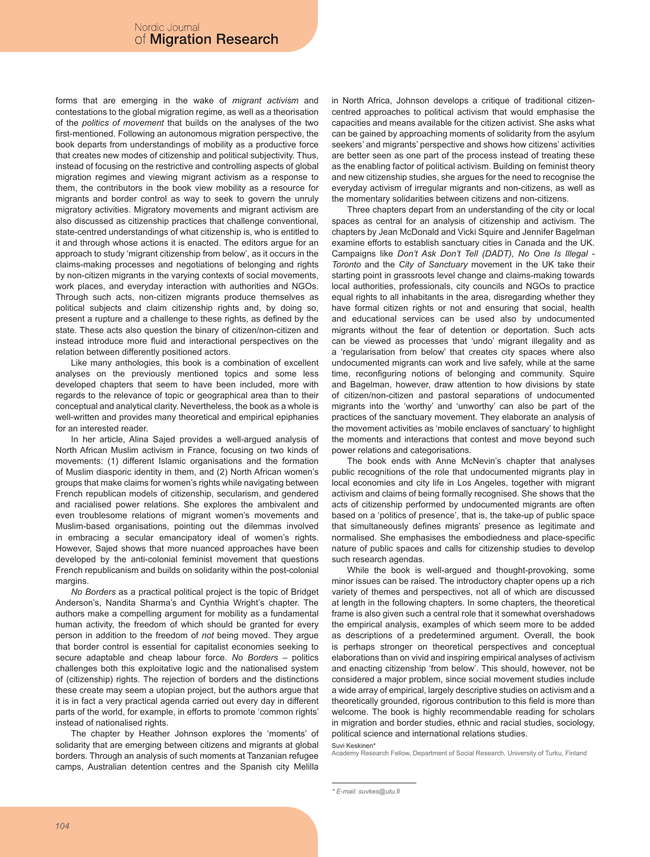forms that are emerging in the wake of *migrant activism* and contestations to the global migration regime, as well as a theorisation of the *politics of movement* that builds on the analyses of the two first-mentioned. Following an autonomous migration perspective, the book departs from understandings of mobility as a productive force that creates new modes of citizenship and political subjectivity. Thus, instead of focusing on the restrictive and controlling aspects of global migration regimes and viewing migrant activism as a response to them, the contributors in the book view mobility as a resource for migrants and border control as way to seek to govern the unruly migratory activities. Migratory movements and migrant activism are also discussed as citizenship practices that challenge conventional, state-centred understandings of what citizenship is, who is entitled to it and through whose actions it is enacted. The editors argue for an approach to study 'migrant citizenship from below', as it occurs in the claims-making processes and negotiations of belonging and rights by non-citizen migrants in the varying contexts of social movements, work places, and everyday interaction with authorities and NGOs. Through such acts, non-citizen migrants produce themselves as political subjects and claim citizenship rights and, by doing so, present a rupture and a challenge to these rights, as defined by the state. These acts also question the binary of citizen/non-citizen and instead introduce more fluid and interactional perspectives on the relation between differently positioned actors.

Like many anthologies, this book is a combination of excellent analyses on the previously mentioned topics and some less developed chapters that seem to have been included, more with regards to the relevance of topic or geographical area than to their conceptual and analytical clarity. Nevertheless, the book as a whole is well-written and provides many theoretical and empirical epiphanies for an interested reader.

In her article, Alina Sajed provides a well-argued analysis of North African Muslim activism in France, focusing on two kinds of movements: (1) different Islamic organisations and the formation of Muslim diasporic identity in them, and (2) North African women's groups that make claims for women's rights while navigating between French republican models of citizenship, secularism, and gendered and racialised power relations. She explores the ambivalent and even troublesome relations of migrant women's movements and Muslim-based organisations, pointing out the dilemmas involved in embracing a secular emancipatory ideal of women's rights. However, Sajed shows that more nuanced approaches have been developed by the anti-colonial feminist movement that questions French republicanism and builds on solidarity within the post-colonial margins.

*No Borders* as a practical political project is the topic of Bridget Anderson's, Nandita Sharma's and Cynthia Wright's chapter. The authors make a compelling argument for mobility as a fundamental human activity, the freedom of which should be granted for every person in addition to the freedom of *not* being moved. They argue that border control is essential for capitalist economies seeking to secure adaptable and cheap labour force. *No Borders* – politics challenges both this exploitative logic and the nationalised system of (citizenship) rights. The rejection of borders and the distinctions these create may seem a utopian project, but the authors argue that it is in fact a very practical agenda carried out every day in different parts of the world, for example, in efforts to promote 'common rights' instead of nationalised rights.

The chapter by Heather Johnson explores the 'moments' of solidarity that are emerging between citizens and migrants at global borders. Through an analysis of such moments at Tanzanian refugee camps, Australian detention centres and the Spanish city Melilla in North Africa, Johnson develops a critique of traditional citizencentred approaches to political activism that would emphasise the capacities and means available for the citizen activist. She asks what can be gained by approaching moments of solidarity from the asylum seekers' and migrants' perspective and shows how citizens' activities are better seen as one part of the process instead of treating these as the enabling factor of political activism. Building on feminist theory and new citizenship studies, she argues for the need to recognise the everyday activism of irregular migrants and non-citizens, as well as the momentary solidarities between citizens and non-citizens.

Three chapters depart from an understanding of the city or local spaces as central for an analysis of citizenship and activism. The chapters by Jean McDonald and Vicki Squire and Jennifer Bagelman examine efforts to establish sanctuary cities in Canada and the UK. Campaigns like *Don't Ask Don't Tell (DADT)*, *No One Is Illegal - Toronto* and the *City of Sanctuary* movement in the UK take their starting point in grassroots level change and claims-making towards local authorities, professionals, city councils and NGOs to practice equal rights to all inhabitants in the area, disregarding whether they have formal citizen rights or not and ensuring that social, health and educational services can be used also by undocumented migrants without the fear of detention or deportation. Such acts can be viewed as processes that 'undo' migrant illegality and as a 'regularisation from below' that creates city spaces where also undocumented migrants can work and live safely, while at the same time, reconfiguring notions of belonging and community. Squire and Bagelman, however, draw attention to how divisions by state of citizen/non-citizen and pastoral separations of undocumented migrants into the 'worthy' and 'unworthy' can also be part of the practices of the sanctuary movement. They elaborate an analysis of the movement activities as 'mobile enclaves of sanctuary' to highlight the moments and interactions that contest and move beyond such power relations and categorisations.

The book ends with Anne McNevin's chapter that analyses public recognitions of the role that undocumented migrants play in local economies and city life in Los Angeles, together with migrant activism and claims of being formally recognised. She shows that the acts of citizenship performed by undocumented migrants are often based on a 'politics of presence', that is, the take-up of public space that simultaneously defines migrants' presence as legitimate and normalised. She emphasises the embodiedness and place-specific nature of public spaces and calls for citizenship studies to develop such research agendas.

While the book is well-argued and thought-provoking, some minor issues can be raised. The introductory chapter opens up a rich variety of themes and perspectives, not all of which are discussed at length in the following chapters. In some chapters, the theoretical frame is also given such a central role that it somewhat overshadows the empirical analysis, examples of which seem more to be added as descriptions of a predetermined argument. Overall, the book is perhaps stronger on theoretical perspectives and conceptual elaborations than on vivid and inspiring empirical analyses of activism and enacting citizenship 'from below'. This should, however, not be considered a major problem, since social movement studies include a wide array of empirical, largely descriptive studies on activism and a theoretically grounded, rigorous contribution to this field is more than welcome. The book is highly recommendable reading for scholars in migration and border studies, ethnic and racial studies, sociology, political science and international relations studies.

Suvi Keskinen\*

Academy Research Fellow, Department of Social Research, University of Turku, Finland

*<sup>\*</sup> E-mail: suvkes@utu.fi*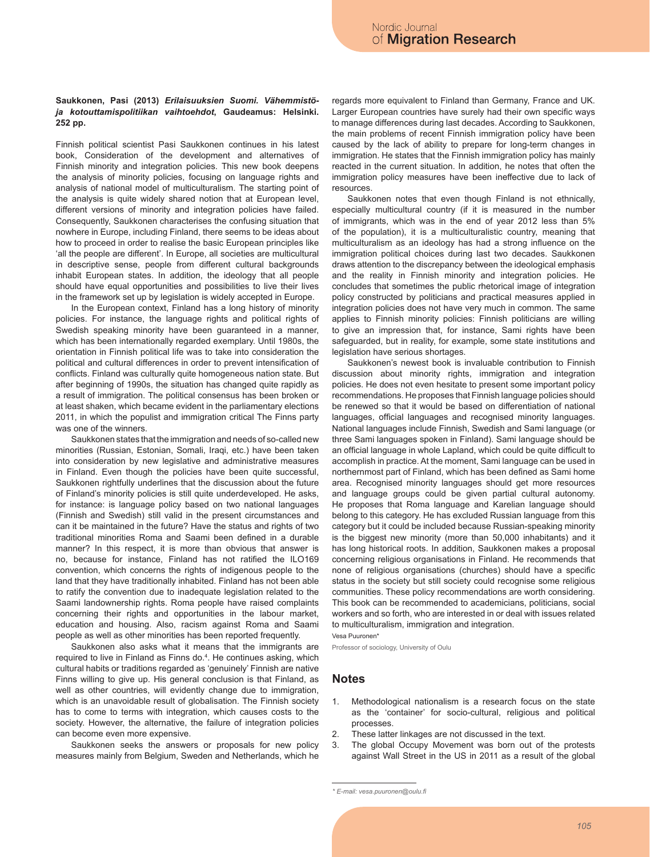## **Saukkonen, Pasi (2013)** *Erilaisuuksien Suomi. Vähemmistöja kotouttamispolitiikan vaihtoehdot***, Gaudeamus: Helsinki. 252 pp.**

Finnish political scientist Pasi Saukkonen continues in his latest book, Consideration of the development and alternatives of Finnish minority and integration policies. This new book deepens the analysis of minority policies, focusing on language rights and analysis of national model of multiculturalism. The starting point of the analysis is quite widely shared notion that at European level, different versions of minority and integration policies have failed. Consequently, Saukkonen characterises the confusing situation that nowhere in Europe, including Finland, there seems to be ideas about how to proceed in order to realise the basic European principles like 'all the people are different'. In Europe, all societies are multicultural in descriptive sense, people from different cultural backgrounds inhabit European states. In addition, the ideology that all people should have equal opportunities and possibilities to live their lives in the framework set up by legislation is widely accepted in Europe.

In the European context, Finland has a long history of minority policies. For instance, the language rights and political rights of Swedish speaking minority have been guaranteed in a manner, which has been internationally regarded exemplary. Until 1980s, the orientation in Finnish political life was to take into consideration the political and cultural differences in order to prevent intensification of conflicts. Finland was culturally quite homogeneous nation state. But after beginning of 1990s, the situation has changed quite rapidly as a result of immigration. The political consensus has been broken or at least shaken, which became evident in the parliamentary elections 2011, in which the populist and immigration critical The Finns party was one of the winners.

Saukkonen states that the immigration and needs of so-called new minorities (Russian, Estonian, Somali, Iraqi, etc.) have been taken into consideration by new legislative and administrative measures in Finland. Even though the policies have been quite successful, Saukkonen rightfully underlines that the discussion about the future of Finland's minority policies is still quite underdeveloped. He asks, for instance: is language policy based on two national languages (Finnish and Swedish) still valid in the present circumstances and can it be maintained in the future? Have the status and rights of two traditional minorities Roma and Saami been defined in a durable manner? In this respect, it is more than obvious that answer is no, because for instance, Finland has not ratified the ILO169 convention, which concerns the rights of indigenous people to the land that they have traditionally inhabited. Finland has not been able to ratify the convention due to inadequate legislation related to the Saami landownership rights. Roma people have raised complaints concerning their rights and opportunities in the labour market, education and housing. Also, racism against Roma and Saami people as well as other minorities has been reported frequently.

Saukkonen also asks what it means that the immigrants are required to live in Finland as Finns do.<sup>4</sup>. He continues asking, which cultural habits or traditions regarded as 'genuinely' Finnish are native Finns willing to give up. His general conclusion is that Finland, as well as other countries, will evidently change due to immigration, which is an unavoidable result of globalisation. The Finnish society has to come to terms with integration, which causes costs to the society. However, the alternative, the failure of integration policies can become even more expensive.

Saukkonen seeks the answers or proposals for new policy measures mainly from Belgium, Sweden and Netherlands, which he regards more equivalent to Finland than Germany, France and UK. Larger European countries have surely had their own specific ways to manage differences during last decades. According to Saukkonen, the main problems of recent Finnish immigration policy have been caused by the lack of ability to prepare for long-term changes in immigration. He states that the Finnish immigration policy has mainly reacted in the current situation. In addition, he notes that often the immigration policy measures have been ineffective due to lack of resources.

Saukkonen notes that even though Finland is not ethnically, especially multicultural country (if it is measured in the number of immigrants, which was in the end of year 2012 less than 5% of the population), it is a multiculturalistic country, meaning that multiculturalism as an ideology has had a strong influence on the immigration political choices during last two decades. Saukkonen draws attention to the discrepancy between the ideological emphasis and the reality in Finnish minority and integration policies. He concludes that sometimes the public rhetorical image of integration policy constructed by politicians and practical measures applied in integration policies does not have very much in common. The same applies to Finnish minority policies: Finnish politicians are willing to give an impression that, for instance, Sami rights have been safeguarded, but in reality, for example, some state institutions and legislation have serious shortages.

Saukkonen's newest book is invaluable contribution to Finnish discussion about minority rights, immigration and integration policies. He does not even hesitate to present some important policy recommendations. He proposes that Finnish language policies should be renewed so that it would be based on differentiation of national languages, official languages and recognised minority languages. National languages include Finnish, Swedish and Sami language (or three Sami languages spoken in Finland). Sami language should be an official language in whole Lapland, which could be quite difficult to accomplish in practice. At the moment, Sami language can be used in northernmost part of Finland, which has been defined as Sami home area. Recognised minority languages should get more resources and language groups could be given partial cultural autonomy. He proposes that Roma language and Karelian language should belong to this category. He has excluded Russian language from this category but it could be included because Russian-speaking minority is the biggest new minority (more than 50,000 inhabitants) and it has long historical roots. In addition, Saukkonen makes a proposal concerning religious organisations in Finland. He recommends that none of religious organisations (churches) should have a specific status in the society but still society could recognise some religious communities. These policy recommendations are worth considering. This book can be recommended to academicians, politicians, social workers and so forth, who are interested in or deal with issues related to multiculturalism, immigration and integration.

Vesa Puuronen\*

Professor of sociology, University of Oulu

## **Notes**

- 1. Methodological nationalism is a research focus on the state as the 'container' for socio-cultural, religious and political processes.
- 2. These latter linkages are not discussed in the text.
- 3. The global Occupy Movement was born out of the protests against Wall Street in the US in 2011 as a result of the global

*<sup>\*</sup> E-mail: vesa.puuronen@oulu.fi*